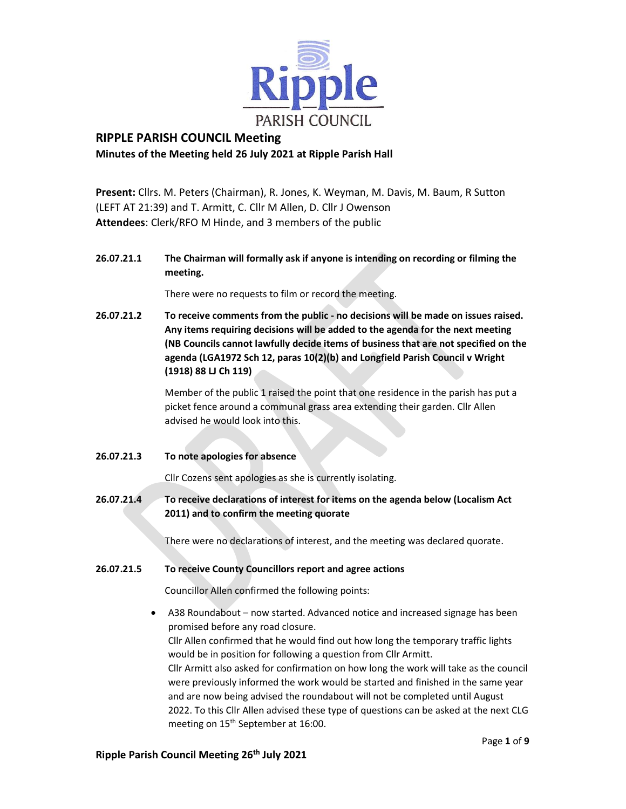

# RIPPLE PARISH COUNCIL Meeting Minutes of the Meeting held 26 July 2021 at Ripple Parish Hall

 Present: Cllrs. M. Peters (Chairman), R. Jones, K. Weyman, M. Davis, M. Baum, R Sutton (LEFT AT 21:39) and T. Armitt, C. Cllr M Allen, D. Cllr J Owenson Attendees: Clerk/RFO M Hinde, and 3 members of the public

## 26.07.21.1 The Chairman will formally ask if anyone is intending on recording or filming the meeting.

There were no requests to film or record the meeting.

26.07.21.2 To receive comments from the public - no decisions will be made on issues raised. Any items requiring decisions will be added to the agenda for the next meeting (NB Councils cannot lawfully decide items of business that are not specified on the agenda (LGA1972 Sch 12, paras 10(2)(b) and Longfield Parish Council v Wright (1918) 88 LJ Ch 119)

> Member of the public 1 raised the point that one residence in the parish has put a picket fence around a communal grass area extending their garden. Cllr Allen advised he would look into this.

26.07.21.3 To note apologies for absence

Cllr Cozens sent apologies as she is currently isolating.

26.07.21.4 To receive declarations of interest for items on the agenda below (Localism Act 2011) and to confirm the meeting quorate

There were no declarations of interest, and the meeting was declared quorate.

### 26.07.21.5 To receive County Councillors report and agree actions

Councillor Allen confirmed the following points:

 A38 Roundabout – now started. Advanced notice and increased signage has been promised before any road closure. Cllr Allen confirmed that he would find out how long the temporary traffic lights would be in position for following a question from Cllr Armitt. Cllr Armitt also asked for confirmation on how long the work will take as the council were previously informed the work would be started and finished in the same year and are now being advised the roundabout will not be completed until August 2022. To this Cllr Allen advised these type of questions can be asked at the next CLG meeting on 15<sup>th</sup> September at 16:00.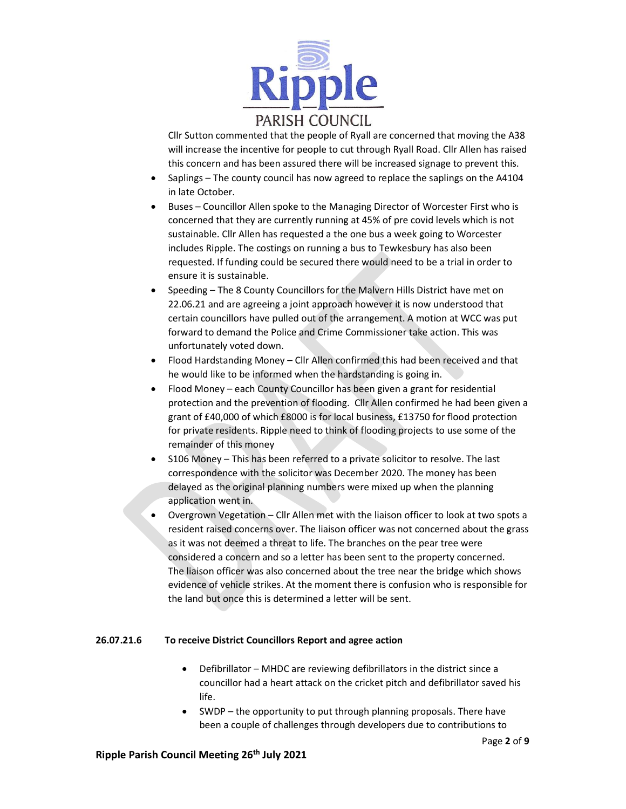

Cllr Sutton commented that the people of Ryall are concerned that moving the A38 will increase the incentive for people to cut through Ryall Road. Cllr Allen has raised this concern and has been assured there will be increased signage to prevent this.

- Saplings The county council has now agreed to replace the saplings on the A4104 in late October.
- Buses Councillor Allen spoke to the Managing Director of Worcester First who is concerned that they are currently running at 45% of pre covid levels which is not sustainable. Cllr Allen has requested a the one bus a week going to Worcester includes Ripple. The costings on running a bus to Tewkesbury has also been requested. If funding could be secured there would need to be a trial in order to ensure it is sustainable.
- Speeding The 8 County Councillors for the Malvern Hills District have met on 22.06.21 and are agreeing a joint approach however it is now understood that certain councillors have pulled out of the arrangement. A motion at WCC was put forward to demand the Police and Crime Commissioner take action. This was unfortunately voted down.
- Flood Hardstanding Money Cllr Allen confirmed this had been received and that he would like to be informed when the hardstanding is going in.
- Flood Money each County Councillor has been given a grant for residential protection and the prevention of flooding. Cllr Allen confirmed he had been given a grant of £40,000 of which £8000 is for local business, £13750 for flood protection for private residents. Ripple need to think of flooding projects to use some of the remainder of this money
- S106 Money This has been referred to a private solicitor to resolve. The last correspondence with the solicitor was December 2020. The money has been delayed as the original planning numbers were mixed up when the planning application went in.
- Overgrown Vegetation Cllr Allen met with the liaison officer to look at two spots a resident raised concerns over. The liaison officer was not concerned about the grass as it was not deemed a threat to life. The branches on the pear tree were considered a concern and so a letter has been sent to the property concerned. The liaison officer was also concerned about the tree near the bridge which shows evidence of vehicle strikes. At the moment there is confusion who is responsible for the land but once this is determined a letter will be sent.

### 26.07.21.6 To receive District Councillors Report and agree action

- Defibrillator MHDC are reviewing defibrillators in the district since a councillor had a heart attack on the cricket pitch and defibrillator saved his life.
- SWDP the opportunity to put through planning proposals. There have been a couple of challenges through developers due to contributions to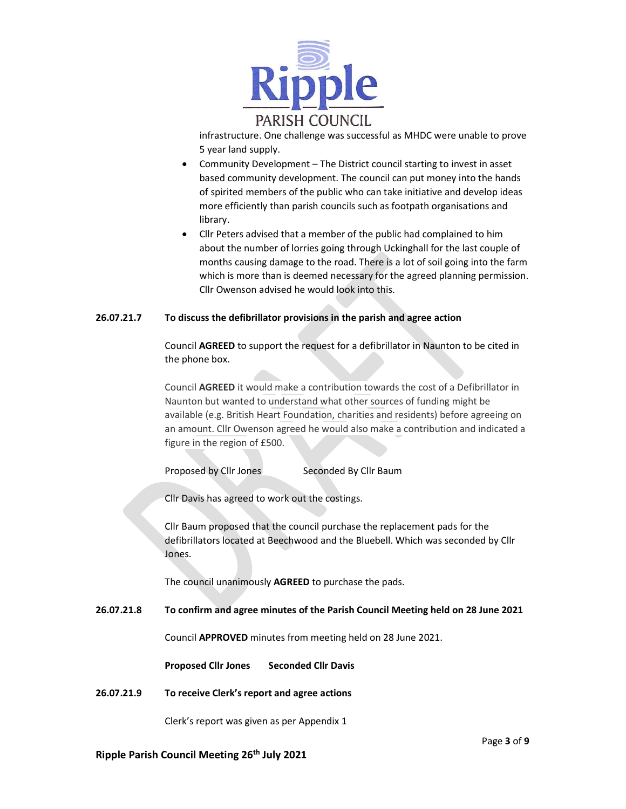

infrastructure. One challenge was successful as MHDC were unable to prove 5 year land supply.

- Community Development The District council starting to invest in asset based community development. The council can put money into the hands of spirited members of the public who can take initiative and develop ideas more efficiently than parish councils such as footpath organisations and library.
- Cllr Peters advised that a member of the public had complained to him about the number of lorries going through Uckinghall for the last couple of months causing damage to the road. There is a lot of soil going into the farm which is more than is deemed necessary for the agreed planning permission. Cllr Owenson advised he would look into this.

## 26.07.21.7 To discuss the defibrillator provisions in the parish and agree action

Council AGREED to support the request for a defibrillator in Naunton to be cited in the phone box.

Council AGREED it would make a contribution towards the cost of a Defibrillator in Naunton but wanted to understand what other sources of funding might be available (e.g. British Heart Foundation, charities and residents) before agreeing on an amount. Cllr Owenson agreed he would also make a contribution and indicated a figure in the region of £500.

Proposed by Cllr Jones Seconded By Cllr Baum

Cllr Davis has agreed to work out the costings.

Cllr Baum proposed that the council purchase the replacement pads for the defibrillators located at Beechwood and the Bluebell. Which was seconded by Cllr Jones.

The council unanimously AGREED to purchase the pads.

26.07.21.8 To confirm and agree minutes of the Parish Council Meeting held on 28 June 2021

Council APPROVED minutes from meeting held on 28 June 2021.

Proposed Cllr Jones Seconded Cllr Davis

26.07.21.9 To receive Clerk's report and agree actions

Clerk's report was given as per Appendix 1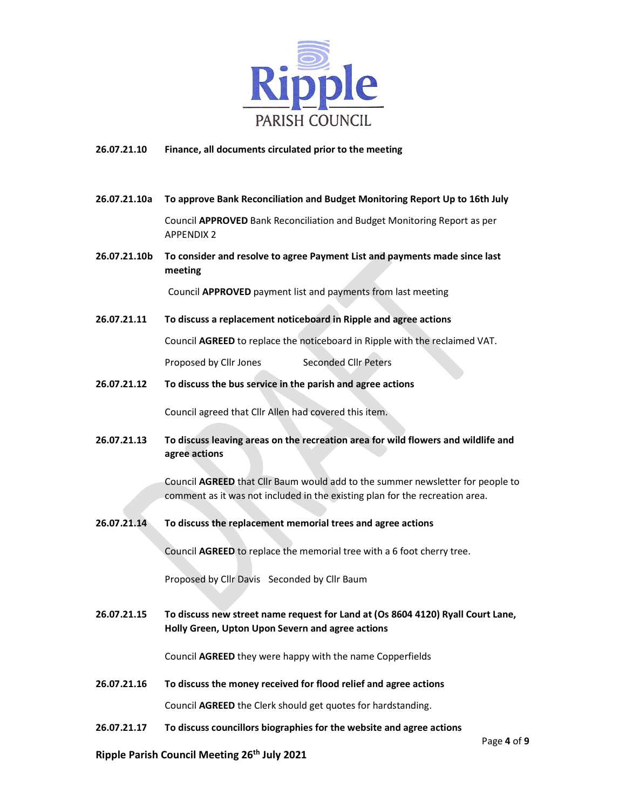

## 26.07.21.10 Finance, all documents circulated prior to the meeting

26.07.21.10a To approve Bank Reconciliation and Budget Monitoring Report Up to 16th July

Council APPROVED Bank Reconciliation and Budget Monitoring Report as per APPENDIX 2

26.07.21.10b To consider and resolve to agree Payment List and payments made since last meeting

Council APPROVED payment list and payments from last meeting

26.07.21.11 To discuss a replacement noticeboard in Ripple and agree actions

Council AGREED to replace the noticeboard in Ripple with the reclaimed VAT.

Proposed by Cllr Jones Seconded Cllr Peters

26.07.21.12 To discuss the bus service in the parish and agree actions

Council agreed that Cllr Allen had covered this item.

26.07.21.13 To discuss leaving areas on the recreation area for wild flowers and wildlife and agree actions

> Council AGREED that Cllr Baum would add to the summer newsletter for people to comment as it was not included in the existing plan for the recreation area.

26.07.21.14 To discuss the replacement memorial trees and agree actions

Council AGREED to replace the memorial tree with a 6 foot cherry tree.

Proposed by Cllr Davis Seconded by Cllr Baum

26.07.21.15 To discuss new street name request for Land at (Os 8604 4120) Ryall Court Lane, Holly Green, Upton Upon Severn and agree actions

Council AGREED they were happy with the name Copperfields

26.07.21.16 To discuss the money received for flood relief and agree actions

Council AGREED the Clerk should get quotes for hardstanding.

26.07.21.17 To discuss councillors biographies for the website and agree actions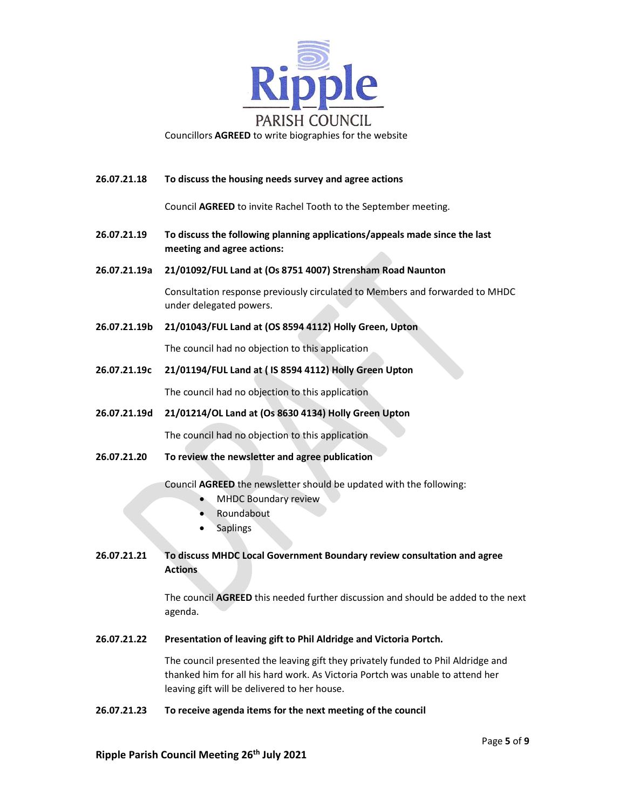

### 26.07.21.18 To discuss the housing needs survey and agree actions

Council AGREED to invite Rachel Tooth to the September meeting.

- 26.07.21.19 To discuss the following planning applications/appeals made since the last meeting and agree actions:
- 26.07.21.19a 21/01092/FUL Land at (Os 8751 4007) Strensham Road Naunton

Consultation response previously circulated to Members and forwarded to MHDC under delegated powers.

26.07.21.19b 21/01043/FUL Land at (OS 8594 4112) Holly Green, Upton

The council had no objection to this application

26.07.21.19c 21/01194/FUL Land at ( IS 8594 4112) Holly Green Upton

The council had no objection to this application

26.07.21.19d 21/01214/OL Land at (Os 8630 4134) Holly Green Upton

The council had no objection to this application

26.07.21.20 To review the newsletter and agree publication

Council AGREED the newsletter should be updated with the following:

- MHDC Boundary review
- Roundabout
- Saplings

26.07.21.21 To discuss MHDC Local Government Boundary review consultation and agree Actions

> The council **AGREED** this needed further discussion and should be added to the next agenda.

26.07.21.22 Presentation of leaving gift to Phil Aldridge and Victoria Portch.

The council presented the leaving gift they privately funded to Phil Aldridge and thanked him for all his hard work. As Victoria Portch was unable to attend her leaving gift will be delivered to her house.

26.07.21.23 To receive agenda items for the next meeting of the council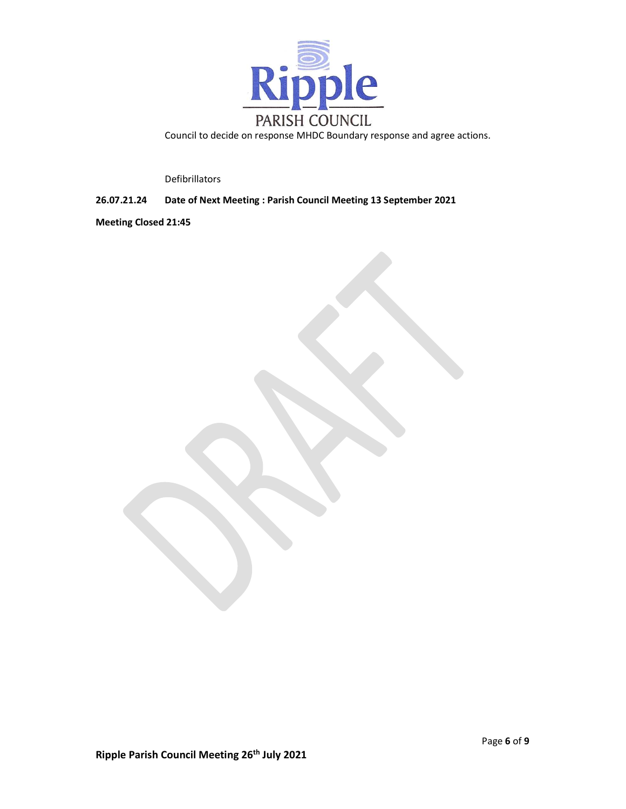

Defibrillators

26.07.21.24 Date of Next Meeting : Parish Council Meeting 13 September 2021

Meeting Closed 21:45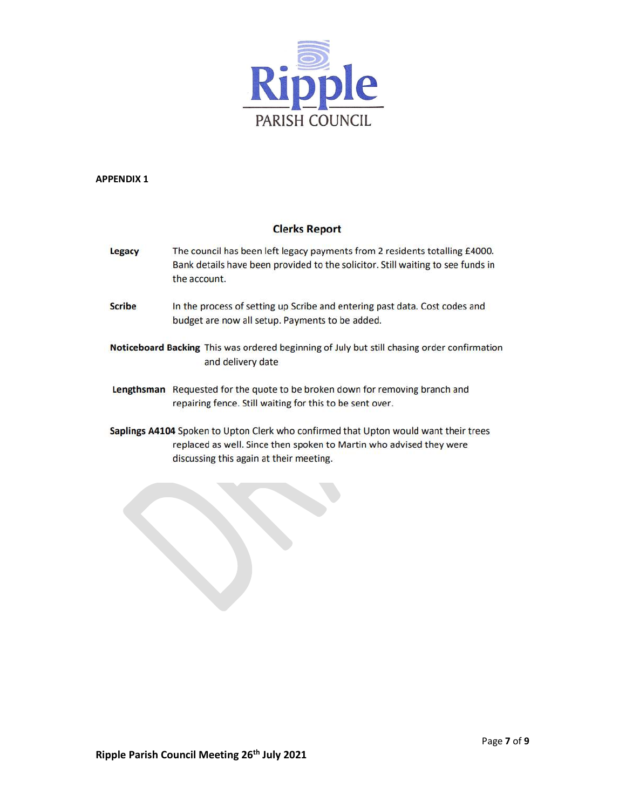

APPENDIX 1

# **Clerks Report**

| Legacy        | The council has been left legacy payments from 2 residents totalling £4000.<br>Bank details have been provided to the solicitor. Still waiting to see funds in<br>the account.                         |
|---------------|--------------------------------------------------------------------------------------------------------------------------------------------------------------------------------------------------------|
| <b>Scribe</b> | In the process of setting up Scribe and entering past data. Cost codes and<br>budget are now all setup. Payments to be added.                                                                          |
|               | Noticeboard Backing This was ordered beginning of July but still chasing order confirmation<br>and delivery date                                                                                       |
|               | Lengthsman Requested for the quote to be broken down for removing branch and<br>repairing fence. Still waiting for this to be sent over.                                                               |
|               | Saplings A4104 Spoken to Upton Clerk who confirmed that Upton would want their trees<br>replaced as well. Since then spoken to Martin who advised they were<br>discussing this again at their meeting. |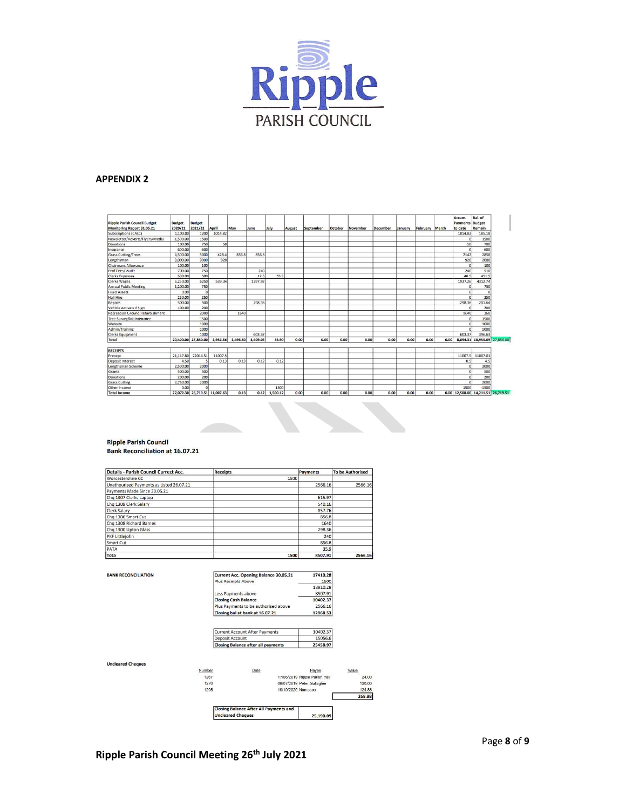

#### APPENDIX 2

| <b>Ripple Parish Council Budget</b><br>Monitoring Report 31.05.21 | <b>Budget</b><br>2020/21 | <b>Budget</b><br>2021/22      | April    | May      | June     | July     | August | September | October | November | December | January | February March |      | Accum.<br>Payments<br>to date | Bal. of<br><b>Budget</b><br>Remain |  |
|-------------------------------------------------------------------|--------------------------|-------------------------------|----------|----------|----------|----------|--------|-----------|---------|----------|----------|---------|----------------|------|-------------------------------|------------------------------------|--|
| Subscriptions (CALC)                                              | 1,100.00                 | 1200                          | 1014.82  |          |          |          |        |           |         |          |          |         |                |      | 1014.82                       | 185.18                             |  |
| Newsletter/Adverts/Flyers/Media                                   | 1,500.00                 | 1500                          |          |          |          |          |        |           |         |          |          |         |                |      | $\Omega$                      | 1500                               |  |
| Donations                                                         | 100.00                   | 750                           | 50       |          |          |          |        |           |         |          |          |         |                |      | 50                            | 700                                |  |
| Insurance                                                         | 600.00                   | 600                           |          |          |          |          |        |           |         |          |          |         |                |      | $\mathbf 0$                   | 600                                |  |
| <b>Grass Cutting/Trees</b>                                        | 4,500.00                 | 5000                          | 428.4    | 856.8    | 856.8    |          |        |           |         |          |          |         |                |      | 2142                          | 2858                               |  |
| Lengthsman                                                        | 3,000.00                 | 3000                          | 920      |          |          |          |        |           |         |          |          |         |                |      | 920                           | 2080                               |  |
| <b>Chairmans Allowance</b>                                        | 100.00                   | 100                           |          |          |          |          |        |           |         |          |          |         |                |      | $\Omega$                      | 100                                |  |
| Prof Fees/ Audit                                                  | 700.00                   | 750                           |          |          | 240      |          |        |           |         |          |          |         |                |      | 240                           | 510                                |  |
| <b>Clerks Expenses</b>                                            | 500.00                   | 500                           |          |          | 12.6     | 35.9     |        |           |         |          |          |         |                |      | 48.5                          | 451.5                              |  |
| <b>Clerks Wages</b>                                               | 6,250.00                 | 6250                          | 539.34   |          | 1397.92  |          |        |           |         |          |          |         |                |      | 1937.26                       | 4312.74                            |  |
| Annual Public Meeting                                             | 1,200.00                 | 750                           |          |          |          |          |        |           |         |          |          |         |                |      | $\Omega$                      | 750                                |  |
| <b>Fixed Assets</b>                                               | 0.00                     | $\Omega$                      |          |          |          |          |        |           |         |          |          |         |                |      | $^{\circ}$                    | C <sub>1</sub>                     |  |
| <b>Hall Hire</b>                                                  | 250.00                   | 250                           |          |          |          |          |        |           |         |          |          |         |                |      | $\Omega$                      | 250                                |  |
| Repairs                                                           | 500.00                   | 500                           |          |          | 298.36   |          |        |           |         |          |          |         |                |      | 298.36                        | 201.64                             |  |
| Vehicle Activated Sign                                            | 100.00                   | 200                           |          |          |          |          |        |           |         |          |          |         |                |      | $\Omega$                      | 200                                |  |
| <b>Recreation Ground Refurbishment</b>                            |                          | 2000                          |          | 1640     |          |          |        |           |         |          |          |         |                |      | 1640                          | 360                                |  |
| Tree Survey/Maintenance                                           |                          | 1500                          |          |          |          |          |        |           |         |          |          |         |                |      | $\Omega$                      | 1500                               |  |
| Website                                                           |                          | 1000                          |          |          |          |          |        |           |         |          |          |         |                |      | $\Omega$                      | 1000                               |  |
| Admin/Training                                                    |                          | 1000                          |          |          |          |          |        |           |         |          |          |         |                |      | $\Omega$                      | 1000                               |  |
| <b>Clerks Equipment</b>                                           |                          | 1000                          |          |          | 603.37   |          |        |           |         |          |          |         |                |      | 603.37                        | 396.63                             |  |
| <b>Total</b>                                                      |                          | 20.400.00 27.850.00           | 2,952.56 | 2,496.80 | 3,409.05 | 35.90    | 0.00   | 0.00      | 0.00    | 0.00     | 0.00     | 0.00    | 0.00           | 0.00 |                               | 8,894.31 18,955.69 27,850.00       |  |
| <b>RECEIPTS</b>                                                   |                          |                               |          |          |          |          |        |           |         |          |          |         |                |      |                               |                                    |  |
| Precept                                                           | 21,117.80                | 22014.51                      | 11007.5  |          |          |          |        |           |         |          |          |         |                |      | 11007.5                       | 11007.01                           |  |
| Deposit Interest                                                  | 4.50                     |                               | 0.13     | 0.13     | 0.12     | 0.12     |        |           |         |          |          |         |                |      | 0.5                           | 4.5                                |  |
| Lengthsman Scheme                                                 | 2,500.00                 | 2000                          |          |          |          |          |        |           |         |          |          |         |                |      | $\mathbf{0}$                  | 2000                               |  |
| Grants                                                            | 500.00                   | 500                           |          |          |          |          |        |           |         |          |          |         |                |      | $\Omega$                      | 500                                |  |
| Donations                                                         | 200.00                   | 200                           |          |          |          |          |        |           |         |          |          |         |                |      | $\circ$                       | 200                                |  |
| <b>Grass Cutting</b>                                              | 2,750.00                 | 2000                          |          |          |          |          |        |           |         |          |          |         |                |      | $\Omega$                      | 2000                               |  |
| Other Income                                                      | 0.00                     | n                             |          |          |          | 1500     |        |           |         |          |          |         |                |      | 1500                          | $-1500$                            |  |
| <b>Total Income</b>                                               |                          | 27,072.30 26,719.51 11,007.63 |          | 0.13     | 0.12     | 1.500.12 | 0.00   | 0.00      | 0.00    | 0.00     | 0.00     | 0.00    | 0.00           |      |                               | 0.00 12.508.00 14.211.51 26.719.51 |  |

#### **Ripple Parish Council Bank Reconciliation at 16.07.21**

| <b>Details - Parish Council Currect Acc.</b> | <b>Receipts</b> | Payments | <b>To be Authorised</b> |
|----------------------------------------------|-----------------|----------|-------------------------|
| Worcestershire CC                            | 1500            |          |                         |
| Unathourised Payments as Listed 26.07.21     |                 | 2566.16  | 2566.16                 |
| Payments Made Since 30.05.21                 |                 |          |                         |
| Chg 1307 Clerks Laptop                       |                 | 615.97   |                         |
| Chq 1309 Clerk Salary                        |                 | 540.16   |                         |
| Clerk Salary                                 |                 | 857.76   |                         |
| Chg 1306 Smart Cut                           |                 | 856.8    |                         |
| Chg 1308 Richard Barnes                      |                 | 1640     |                         |
| Chg 1300 Upton Glass                         |                 | 298.36   |                         |
| PKF Littlejohn                               |                 | 240      |                         |
| Smart Cut                                    |                 | 856.8    |                         |
| PATA                                         |                 | 35.9     |                         |
| Tota                                         | 1500            | 8507.91  | 2566.16                 |

#### **BANK RECONCILIATION**

| Current Acc. Opening Balance 30.05.21 | 17410.28 |
|---------------------------------------|----------|
| <b>Plus Receipts Above</b>            | 1500     |
|                                       | 18910.28 |
| Less Payments above                   | 8507.91  |
| <b>Closing Cash Balance</b>           | 10402.37 |
| Plus Payments to be authorised above  | 2566.16  |
| Closing bal at bank at 16.07.21       | 12968.53 |

| <b>Closing Balance after all payments</b> | 25458.97 |
|-------------------------------------------|----------|
| <b>Deposit Account</b>                    | 15056.6  |
| Current Account After Payments            | 10402.37 |

#### **Uncleared Cheques**

| 17/06/2019 Ripple Parish Hall<br>24.00 |
|----------------------------------------|
|                                        |
| 08/07/2019 Peter Gallagher<br>120.00   |
| 124.88                                 |
| 268.88                                 |
|                                        |